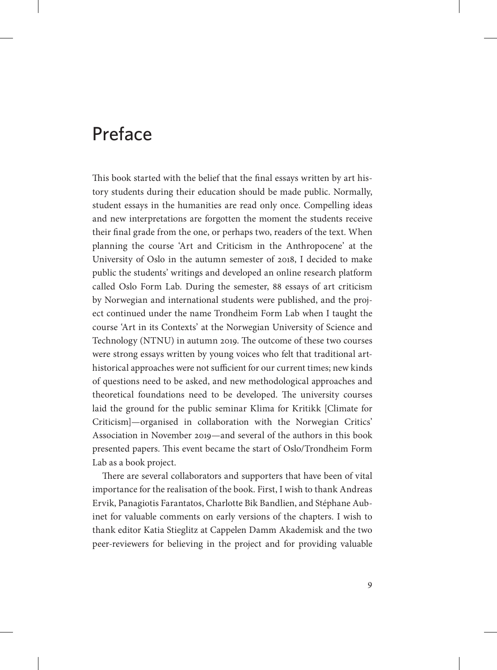## Preface

This book started with the belief that the final essays written by art history students during their education should be made public. Normally, student essays in the humanities are read only once. Compelling ideas and new interpretations are forgotten the moment the students receive their final grade from the one, or perhaps two, readers of the text. When planning the course 'Art and Criticism in the Anthropocene' at the University of Oslo in the autumn semester of 2018, I decided to make public the students' writings and developed an online research platform called Oslo Form Lab. During the semester, 88 essays of art criticism by Norwegian and international students were published, and the project continued under the name Trondheim Form Lab when I taught the course 'Art in its Contexts' at the Norwegian University of Science and Technology (NTNU) in autumn 2019. The outcome of these two courses were strong essays written by young voices who felt that traditional arthistorical approaches were not sufficient for our current times; new kinds of questions need to be asked, and new methodological approaches and theoretical foundations need to be developed. The university courses laid the ground for the public seminar Klima for Kritikk [Climate for Criticism]—organised in collaboration with the Norwegian Critics' Association in November 2019—and several of the authors in this book presented papers. This event became the start of Oslo/Trondheim Form Lab as a book project.

There are several collaborators and supporters that have been of vital importance for the realisation of the book. First, I wish to thank Andreas Ervik, Panagiotis Farantatos, Charlotte Bik Bandlien, and Stéphane Aubinet for valuable comments on early versions of the chapters. I wish to thank editor Katia Stieglitz at Cappelen Damm Akademisk and the two peer-reviewers for believing in the project and for providing valuable